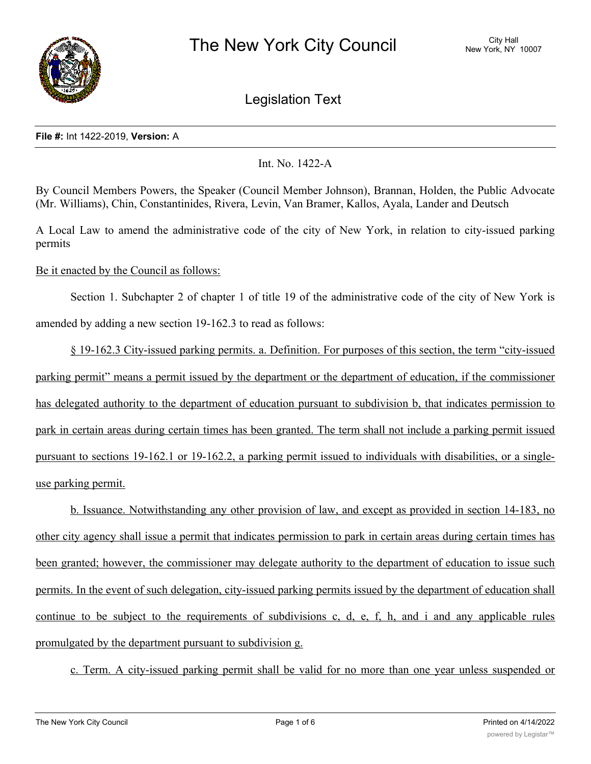

Legislation Text

### **File #:** Int 1422-2019, **Version:** A

# Int. No. 1422-A

By Council Members Powers, the Speaker (Council Member Johnson), Brannan, Holden, the Public Advocate (Mr. Williams), Chin, Constantinides, Rivera, Levin, Van Bramer, Kallos, Ayala, Lander and Deutsch

A Local Law to amend the administrative code of the city of New York, in relation to city-issued parking permits

Be it enacted by the Council as follows:

Section 1. Subchapter 2 of chapter 1 of title 19 of the administrative code of the city of New York is amended by adding a new section 19-162.3 to read as follows:

§ 19-162.3 City-issued parking permits. a. Definition. For purposes of this section, the term "city-issued parking permit" means a permit issued by the department or the department of education, if the commissioner has delegated authority to the department of education pursuant to subdivision b, that indicates permission to park in certain areas during certain times has been granted. The term shall not include a parking permit issued pursuant to sections 19-162.1 or 19-162.2, a parking permit issued to individuals with disabilities, or a singleuse parking permit.

b. Issuance. Notwithstanding any other provision of law, and except as provided in section 14-183, no other city agency shall issue a permit that indicates permission to park in certain areas during certain times has been granted; however, the commissioner may delegate authority to the department of education to issue such permits. In the event of such delegation, city-issued parking permits issued by the department of education shall continue to be subject to the requirements of subdivisions c, d, e, f, h, and i and any applicable rules promulgated by the department pursuant to subdivision g.

c. Term. A city-issued parking permit shall be valid for no more than one year unless suspended or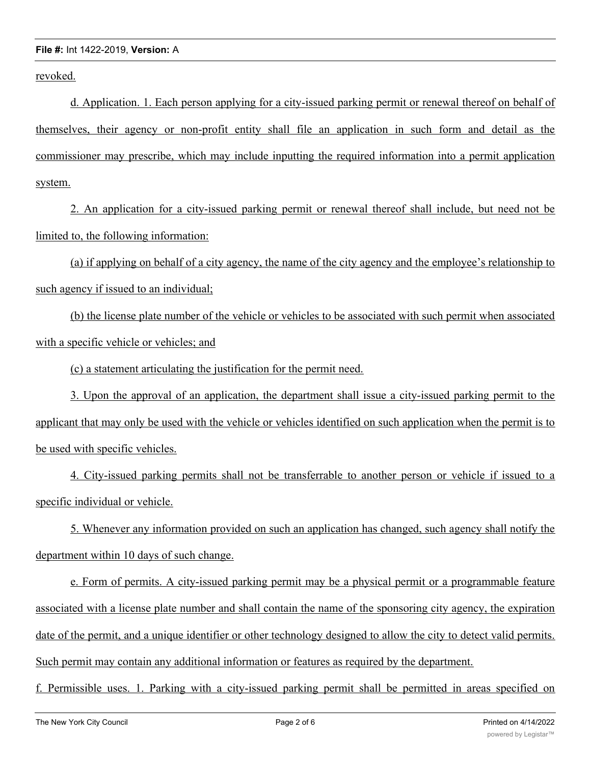revoked.

d. Application. 1. Each person applying for a city-issued parking permit or renewal thereof on behalf of themselves, their agency or non-profit entity shall file an application in such form and detail as the commissioner may prescribe, which may include inputting the required information into a permit application system.

2. An application for a city-issued parking permit or renewal thereof shall include, but need not be limited to, the following information:

(a) if applying on behalf of a city agency, the name of the city agency and the employee's relationship to such agency if issued to an individual;

(b) the license plate number of the vehicle or vehicles to be associated with such permit when associated with a specific vehicle or vehicles; and

(c) a statement articulating the justification for the permit need.

3. Upon the approval of an application, the department shall issue a city-issued parking permit to the applicant that may only be used with the vehicle or vehicles identified on such application when the permit is to be used with specific vehicles.

4. City-issued parking permits shall not be transferrable to another person or vehicle if issued to a specific individual or vehicle.

5. Whenever any information provided on such an application has changed, such agency shall notify the department within 10 days of such change.

e. Form of permits. A city-issued parking permit may be a physical permit or a programmable feature associated with a license plate number and shall contain the name of the sponsoring city agency, the expiration date of the permit, and a unique identifier or other technology designed to allow the city to detect valid permits. Such permit may contain any additional information or features as required by the department.

f. Permissible uses. 1. Parking with a city-issued parking permit shall be permitted in areas specified on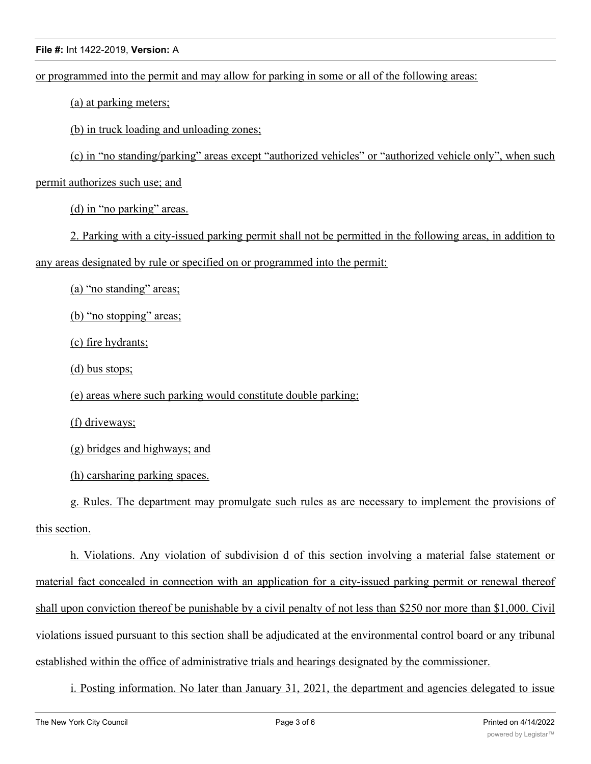or programmed into the permit and may allow for parking in some or all of the following areas:

(a) at parking meters;

(b) in truck loading and unloading zones;

(c) in "no standing/parking" areas except "authorized vehicles" or "authorized vehicle only", when such

permit authorizes such use; and

(d) in "no parking" areas.

2. Parking with a city-issued parking permit shall not be permitted in the following areas, in addition to

any areas designated by rule or specified on or programmed into the permit:

(a) "no standing" areas;

(b) "no stopping" areas;

(c) fire hydrants;

(d) bus stops;

(e) areas where such parking would constitute double parking;

(f) driveways;

(g) bridges and highways; and

(h) carsharing parking spaces.

g. Rules. The department may promulgate such rules as are necessary to implement the provisions of this section.

h. Violations. Any violation of subdivision d of this section involving a material false statement or material fact concealed in connection with an application for a city-issued parking permit or renewal thereof shall upon conviction thereof be punishable by a civil penalty of not less than \$250 nor more than \$1,000. Civil violations issued pursuant to this section shall be adjudicated at the environmental control board or any tribunal established within the office of administrative trials and hearings designated by the commissioner.

i. Posting information. No later than January 31, 2021, the department and agencies delegated to issue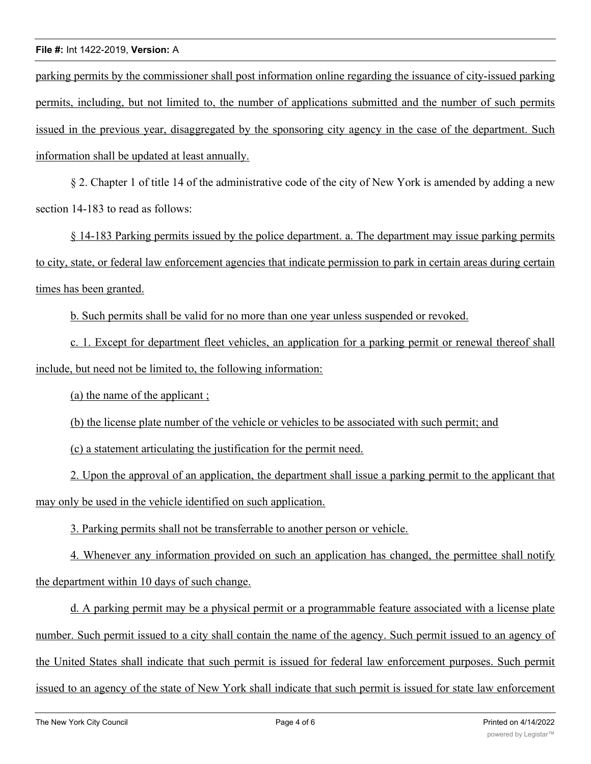parking permits by the commissioner shall post information online regarding the issuance of city-issued parking permits, including, but not limited to, the number of applications submitted and the number of such permits issued in the previous year, disaggregated by the sponsoring city agency in the case of the department. Such information shall be updated at least annually.

§ 2. Chapter 1 of title 14 of the administrative code of the city of New York is amended by adding a new section 14-183 to read as follows:

§ 14-183 Parking permits issued by the police department. a. The department may issue parking permits to city, state, or federal law enforcement agencies that indicate permission to park in certain areas during certain times has been granted.

b. Such permits shall be valid for no more than one year unless suspended or revoked.

c. 1. Except for department fleet vehicles, an application for a parking permit or renewal thereof shall include, but need not be limited to, the following information:

(a) the name of the applicant ;

(b) the license plate number of the vehicle or vehicles to be associated with such permit; and

(c) a statement articulating the justification for the permit need.

2. Upon the approval of an application, the department shall issue a parking permit to the applicant that may only be used in the vehicle identified on such application.

3. Parking permits shall not be transferrable to another person or vehicle.

4. Whenever any information provided on such an application has changed, the permittee shall notify the department within 10 days of such change.

d. A parking permit may be a physical permit or a programmable feature associated with a license plate number. Such permit issued to a city shall contain the name of the agency. Such permit issued to an agency of the United States shall indicate that such permit is issued for federal law enforcement purposes. Such permit issued to an agency of the state of New York shall indicate that such permit is issued for state law enforcement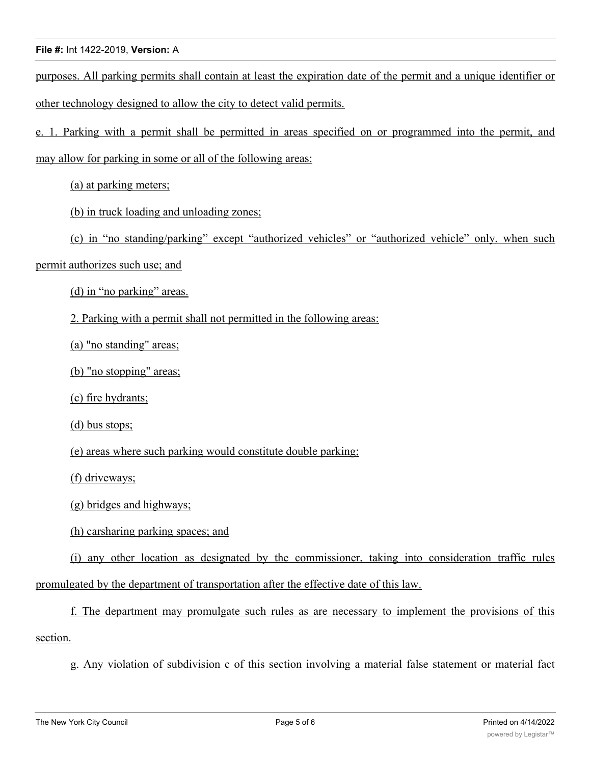purposes. All parking permits shall contain at least the expiration date of the permit and a unique identifier or other technology designed to allow the city to detect valid permits.

e. 1. Parking with a permit shall be permitted in areas specified on or programmed into the permit, and may allow for parking in some or all of the following areas:

(a) at parking meters;

(b) in truck loading and unloading zones;

(c) in "no standing/parking" except "authorized vehicles" or "authorized vehicle" only, when such

permit authorizes such use; and

(d) in "no parking" areas.

2. Parking with a permit shall not permitted in the following areas:

(a) "no standing" areas;

(b) "no stopping" areas;

(c) fire hydrants;

(d) bus stops;

(e) areas where such parking would constitute double parking;

(f) driveways;

(g) bridges and highways;

(h) carsharing parking spaces; and

(i) any other location as designated by the commissioner, taking into consideration traffic rules promulgated by the department of transportation after the effective date of this law.

f. The department may promulgate such rules as are necessary to implement the provisions of this section.

g. Any violation of subdivision c of this section involving a material false statement or material fact